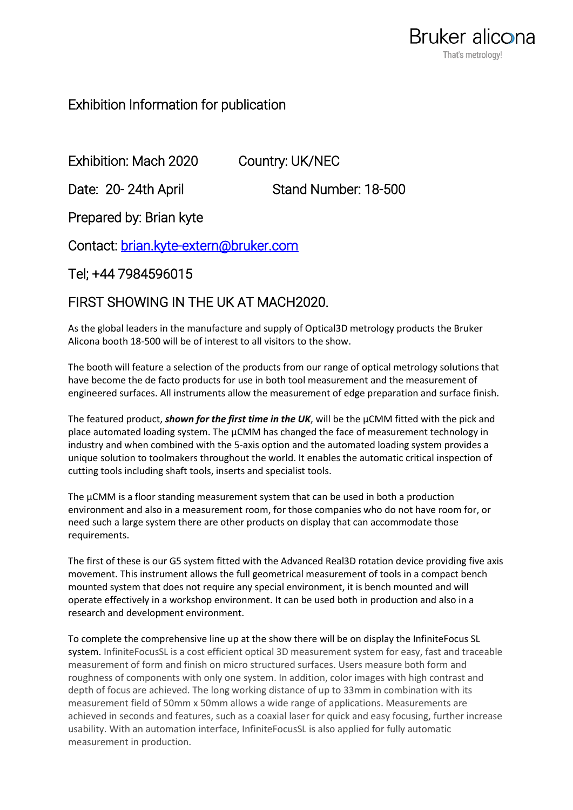## Exhibition Information for publication

Exhibition: Mach 2020 Country: UK/NEC

Date: 20-24th April Stand Number: 18-500

Prepared by: Brian kyte

Contact: [brian.kyte-extern@bruker.com](mailto:brian.kyte-extern@bruker.com) 

Tel; +44 7984596015

## FIRST SHOWING IN THE UK AT MACH2020.

As the global leaders in the manufacture and supply of Optical3D metrology products the Bruker Alicona booth 18-500 will be of interest to all visitors to the show.

The booth will feature a selection of the products from our range of optical metrology solutions that have become the de facto products for use in both tool measurement and the measurement of engineered surfaces. All instruments allow the measurement of edge preparation and surface finish.

The featured product, *shown for the first time in the UK*, will be the µCMM fitted with the pick and place automated loading system. The µCMM has changed the face of measurement technology in industry and when combined with the 5-axis option and the automated loading system provides a unique solution to toolmakers throughout the world. It enables the automatic critical inspection of cutting tools including shaft tools, inserts and specialist tools.

The  $\mu$ CMM is a floor standing measurement system that can be used in both a production environment and also in a measurement room, for those companies who do not have room for, or need such a large system there are other products on display that can accommodate those requirements.

The first of these is our G5 system fitted with the Advanced Real3D rotation device providing five axis movement. This instrument allows the full geometrical measurement of tools in a compact bench mounted system that does not require any special environment, it is bench mounted and will operate effectively in a workshop environment. It can be used both in production and also in a research and development environment.

To complete the comprehensive line up at the show there will be on display the InfiniteFocus SL system. InfiniteFocusSL is a cost efficient optical 3D measurement system for easy, fast and traceable measurement of form and finish on micro structured surfaces. Users measure both form and roughness of components with only one system. In addition, color images with high contrast and depth of focus are achieved. The long working distance of up to 33mm in combination with its measurement field of 50mm x 50mm allows a wide range of applications. Measurements are achieved in seconds and features, such as a coaxial laser for quick and easy focusing, further increase usability. With an automation interface, InfiniteFocusSL is also applied for fully automatic measurement in production.